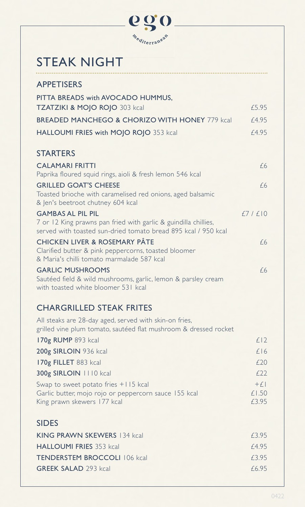

## STEAK NIGHT

| <b>APPETISERS</b>                                                                                                                                             |        |
|---------------------------------------------------------------------------------------------------------------------------------------------------------------|--------|
| PITTA BREADS with AVOCADO HUMMUS,<br><b>TZATZIKI &amp; MOJO ROJO 303 kcal</b>                                                                                 | £5.95  |
| <b>BREADED MANCHEGO &amp; CHORIZO WITH HONEY 779 kcall</b>                                                                                                    | f4.95  |
| HALLOUMI FRIES with MOJO ROJO 353 kcal                                                                                                                        | £4.95  |
| <b>STARTERS</b>                                                                                                                                               |        |
| <b>CALAMARI FRITTI</b><br>Paprika floured squid rings, aioli & fresh lemon 546 kcal                                                                           | f6     |
| <b>GRILLED GOAT'S CHEESE</b><br>Toasted brioche with caramelised red onions, aged balsamic<br>& Jen's beetroot chutney 604 kcal                               | f6     |
| <b>GAMBAS AL PIL PIL</b><br>7 or 12 King prawns pan fried with garlic & guindilla chillies,<br>served with toasted sun-dried tomato bread 895 kcal / 950 kcal | f7/f10 |
| <b>CHICKEN LIVER &amp; ROSEMARY PÂTE</b><br>Clarified butter & pink peppercorns, toasted bloomer<br>& Maria's chilli tomato marmalade 587 kcal                | f6     |
| <b>GARLIC MUSHROOMS</b><br>Sautéed field & wild mushrooms, garlic, lemon & parsley cream<br>with toasted white bloomer 531 kcal                               | f6     |
| <b>CHARGRILLED STEAK FRITES</b>                                                                                                                               |        |

## All steaks are 28-day aged, served with skin-on fries, grilled vine plum tomato, sautéed flat mushroom & dressed rocket  $170g$  RUMP 893 kcal  $£12$ 200g SIRLOIN 936 kcal  $\angle$ 16  $170g$  FILLET 883 kcal  $£20$ 300g SIRLOIN 1110 kcal *£*22 Swap to sweet potato fries  $+115$  kcal  $+£1$ Garlic butter, mojo rojo or peppercorn sauce 155 kcal  $£1.50$ <br>King prawn skewers 177 kcal  $£3.95$ King prawn skewers 177 kcal SIDES

| KING PRAWN SKEWERS 134 kcal         | F395 |
|-------------------------------------|------|
| <b>HALLOUMI FRIES</b> 353 kcal      | f495 |
| <b>TENDERSTEM BROCCOLL 106 kcal</b> | f395 |
| <b>GREEK SALAD</b> 293 kcal         | f695 |